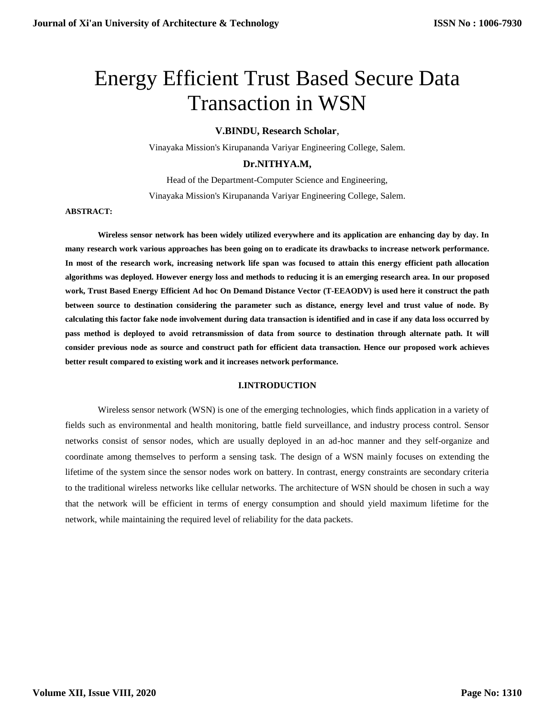# Energy Efficient Trust Based Secure Data Transaction in WSN

## **V.BINDU, Research Scholar**,

Vinayaka Mission's Kirupananda Variyar Engineering College, Salem.

# **Dr.NITHYA.M,**

Head of the Department-Computer Science and Engineering, Vinayaka Mission's Kirupananda Variyar Engineering College, Salem.

## **ABSTRACT:**

**Wireless sensor network has been widely utilized everywhere and its application are enhancing day by day. In many research work various approaches has been going on to eradicate its drawbacks to increase network performance. In most of the research work, increasing network life span was focused to attain this energy efficient path allocation algorithms was deployed. However energy loss and methods to reducing it is an emerging research area. In our proposed work, Trust Based Energy Efficient Ad hoc On Demand Distance Vector (T-EEAODV) is used here it construct the path between source to destination considering the parameter such as distance, energy level and trust value of node. By calculating this factor fake node involvement during data transaction is identified and in case if any data loss occurred by pass method is deployed to avoid retransmission of data from source to destination through alternate path. It will consider previous node as source and construct path for efficient data transaction. Hence our proposed work achieves better result compared to existing work and it increases network performance.** 

## **I.INTRODUCTION**

Wireless sensor network (WSN) is one of the emerging technologies, which finds application in a variety of fields such as environmental and health monitoring, battle field surveillance, and industry process control. Sensor networks consist of sensor nodes, which are usually deployed in an ad-hoc manner and they self-organize and coordinate among themselves to perform a sensing task. The design of a WSN mainly focuses on extending the lifetime of the system since the sensor nodes work on battery. In contrast, energy constraints are secondary criteria to the traditional wireless networks like cellular networks. The architecture of WSN should be chosen in such a way that the network will be efficient in terms of energy consumption and should yield maximum lifetime for the network, while maintaining the required level of reliability for the data packets.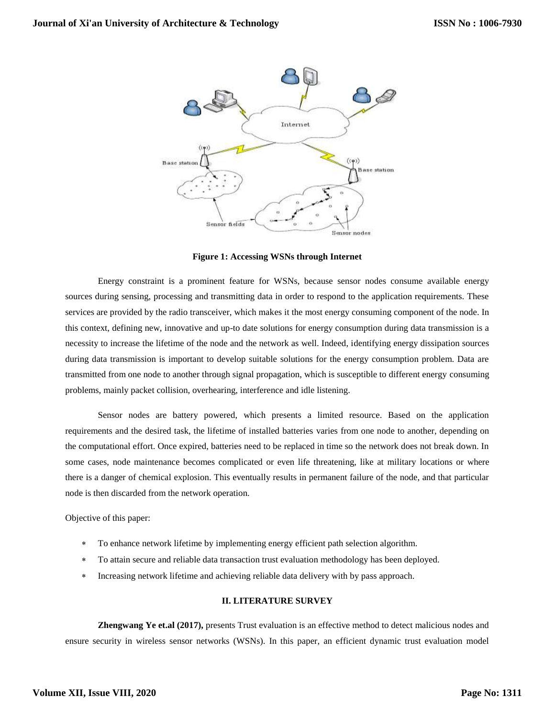

**Figure 1: Accessing WSNs through Internet**

Energy constraint is a prominent feature for WSNs, because sensor nodes consume available energy sources during sensing, processing and transmitting data in order to respond to the application requirements. These services are provided by the radio transceiver, which makes it the most energy consuming component of the node. In this context, defining new, innovative and up-to date solutions for energy consumption during data transmission is a necessity to increase the lifetime of the node and the network as well. Indeed, identifying energy dissipation sources during data transmission is important to develop suitable solutions for the energy consumption problem. Data are transmitted from one node to another through signal propagation, which is susceptible to different energy consuming problems, mainly packet collision, overhearing, interference and idle listening.

Sensor nodes are battery powered, which presents a limited resource. Based on the application requirements and the desired task, the lifetime of installed batteries varies from one node to another, depending on the computational effort. Once expired, batteries need to be replaced in time so the network does not break down. In some cases, node maintenance becomes complicated or even life threatening, like at military locations or where there is a danger of chemical explosion. This eventually results in permanent failure of the node, and that particular node is then discarded from the network operation.

Objective of this paper:

- To enhance network lifetime by implementing energy efficient path selection algorithm.
- To attain secure and reliable data transaction trust evaluation methodology has been deployed.
- Increasing network lifetime and achieving reliable data delivery with by pass approach.

#### **II. LITERATURE SURVEY**

**Zhengwang Ye et.al (2017),** presents Trust evaluation is an effective method to detect malicious nodes and ensure security in wireless sensor networks (WSNs). In this paper, an efficient dynamic trust evaluation model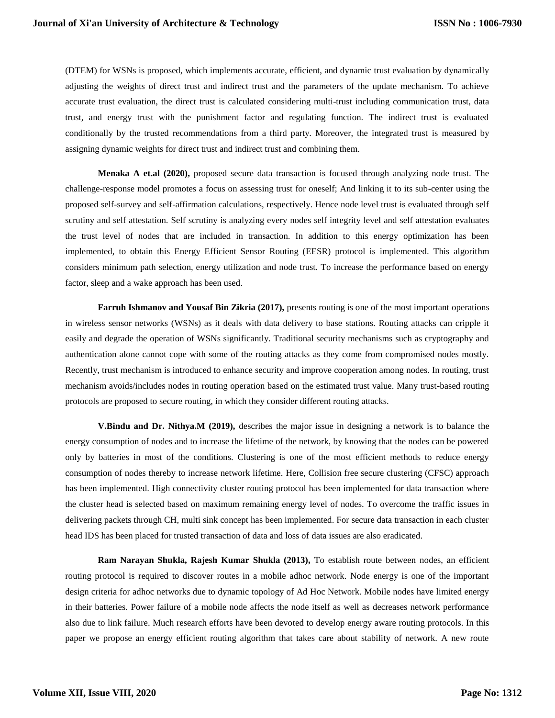(DTEM) for WSNs is proposed, which implements accurate, efficient, and dynamic trust evaluation by dynamically adjusting the weights of direct trust and indirect trust and the parameters of the update mechanism. To achieve accurate trust evaluation, the direct trust is calculated considering multi-trust including communication trust, data trust, and energy trust with the punishment factor and regulating function. The indirect trust is evaluated conditionally by the trusted recommendations from a third party. Moreover, the integrated trust is measured by assigning dynamic weights for direct trust and indirect trust and combining them.

**Menaka A et.al (2020),** proposed secure data transaction is focused through analyzing node trust. The challenge-response model promotes a focus on assessing trust for oneself; And linking it to its sub-center using the proposed self-survey and self-affirmation calculations, respectively. Hence node level trust is evaluated through self scrutiny and self attestation. Self scrutiny is analyzing every nodes self integrity level and self attestation evaluates the trust level of nodes that are included in transaction. In addition to this energy optimization has been implemented, to obtain this Energy Efficient Sensor Routing (EESR) protocol is implemented. This algorithm considers minimum path selection, energy utilization and node trust. To increase the performance based on energy factor, sleep and a wake approach has been used.

**Farruh Ishmanov and Yousaf Bin Zikria (2017),** presents routing is one of the most important operations in wireless sensor networks (WSNs) as it deals with data delivery to base stations. Routing attacks can cripple it easily and degrade the operation of WSNs significantly. Traditional security mechanisms such as cryptography and authentication alone cannot cope with some of the routing attacks as they come from compromised nodes mostly. Recently, trust mechanism is introduced to enhance security and improve cooperation among nodes. In routing, trust mechanism avoids/includes nodes in routing operation based on the estimated trust value. Many trust-based routing protocols are proposed to secure routing, in which they consider different routing attacks.

**V.Bindu and Dr. Nithya.M (2019),** describes the major issue in designing a network is to balance the energy consumption of nodes and to increase the lifetime of the network, by knowing that the nodes can be powered only by batteries in most of the conditions. Clustering is one of the most efficient methods to reduce energy consumption of nodes thereby to increase network lifetime. Here, Collision free secure clustering (CFSC) approach has been implemented. High connectivity cluster routing protocol has been implemented for data transaction where the cluster head is selected based on maximum remaining energy level of nodes. To overcome the traffic issues in delivering packets through CH, multi sink concept has been implemented. For secure data transaction in each cluster head IDS has been placed for trusted transaction of data and loss of data issues are also eradicated.

**Ram Narayan Shukla, Rajesh Kumar Shukla (2013),** To establish route between nodes, an efficient routing protocol is required to discover routes in a mobile adhoc network. Node energy is one of the important design criteria for adhoc networks due to dynamic topology of Ad Hoc Network. Mobile nodes have limited energy in their batteries. Power failure of a mobile node affects the node itself as well as decreases network performance also due to link failure. Much research efforts have been devoted to develop energy aware routing protocols. In this paper we propose an energy efficient routing algorithm that takes care about stability of network. A new route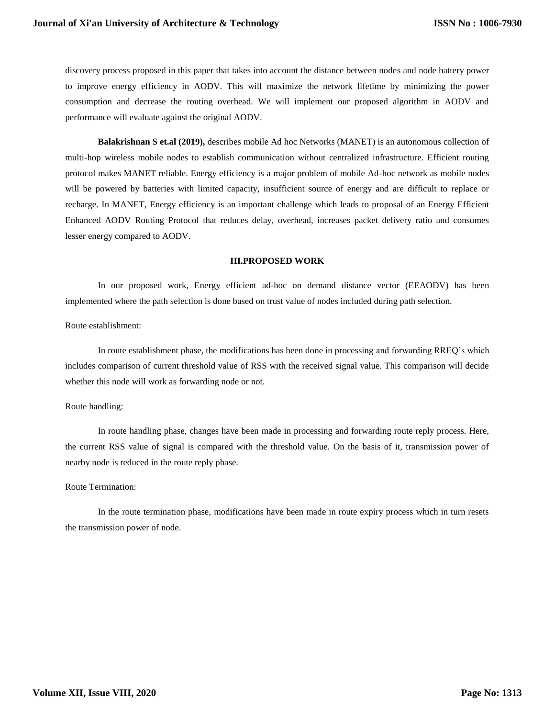discovery process proposed in this paper that takes into account the distance between nodes and node battery power to improve energy efficiency in AODV. This will maximize the network lifetime by minimizing the power consumption and decrease the routing overhead. We will implement our proposed algorithm in AODV and performance will evaluate against the original AODV.

**Balakrishnan S et.al (2019),** describes mobile Ad hoc Networks (MANET) is an autonomous collection of multi-hop wireless mobile nodes to establish communication without centralized infrastructure. Efficient routing protocol makes MANET reliable. Energy efficiency is a major problem of mobile Ad-hoc network as mobile nodes will be powered by batteries with limited capacity, insufficient source of energy and are difficult to replace or recharge. In MANET, Energy efficiency is an important challenge which leads to proposal of an Energy Efficient Enhanced AODV Routing Protocol that reduces delay, overhead, increases packet delivery ratio and consumes lesser energy compared to AODV.

#### **III.PROPOSED WORK**

In our proposed work, Energy efficient ad-hoc on demand distance vector (EEAODV) has been implemented where the path selection is done based on trust value of nodes included during path selection.

Route establishment:

In route establishment phase, the modifications has been done in processing and forwarding RREQ's which includes comparison of current threshold value of RSS with the received signal value. This comparison will decide whether this node will work as forwarding node or not.

#### Route handling:

In route handling phase, changes have been made in processing and forwarding route reply process. Here, the current RSS value of signal is compared with the threshold value. On the basis of it, transmission power of nearby node is reduced in the route reply phase.

#### Route Termination:

In the route termination phase, modifications have been made in route expiry process which in turn resets the transmission power of node.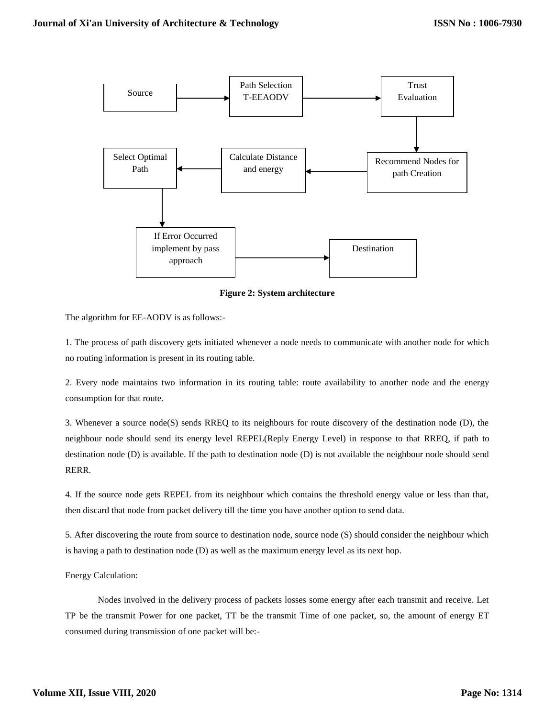

**Figure 2: System architecture**

The algorithm for EE-AODV is as follows:-

1. The process of path discovery gets initiated whenever a node needs to communicate with another node for which no routing information is present in its routing table.

2. Every node maintains two information in its routing table: route availability to another node and the energy consumption for that route.

3. Whenever a source node(S) sends RREQ to its neighbours for route discovery of the destination node (D), the neighbour node should send its energy level REPEL(Reply Energy Level) in response to that RREQ, if path to destination node (D) is available. If the path to destination node (D) is not available the neighbour node should send RERR.

4. If the source node gets REPEL from its neighbour which contains the threshold energy value or less than that, then discard that node from packet delivery till the time you have another option to send data.

5. After discovering the route from source to destination node, source node (S) should consider the neighbour which is having a path to destination node (D) as well as the maximum energy level as its next hop.

Energy Calculation:

Nodes involved in the delivery process of packets losses some energy after each transmit and receive. Let TP be the transmit Power for one packet, TT be the transmit Time of one packet, so, the amount of energy ET consumed during transmission of one packet will be:-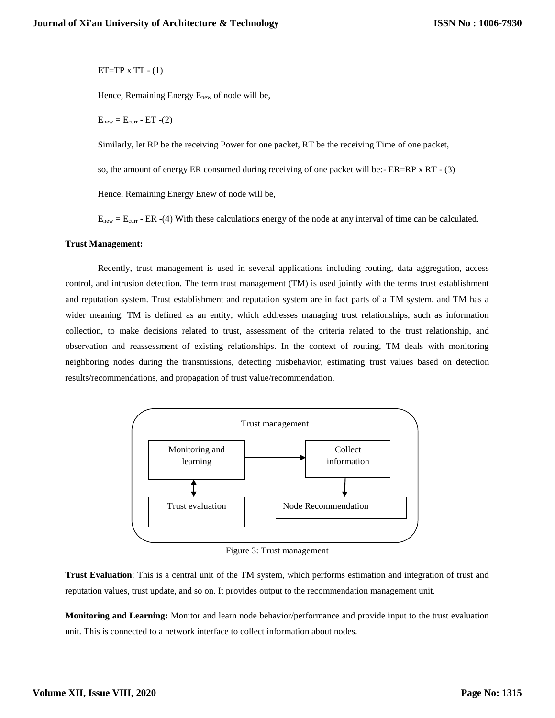ET=TP  $x$  TT  $-$  (1)

Hence, Remaining Energy Enew of node will be,

 $E<sub>new</sub> = E<sub>curr</sub> - ET - (2)$ 

Similarly, let RP be the receiving Power for one packet, RT be the receiving Time of one packet,

so, the amount of energy ER consumed during receiving of one packet will be:- ER=RP x RT - (3)

Hence, Remaining Energy Enew of node will be,

 $E_{\text{new}} = E_{\text{curr}} - ER - (4)$  With these calculations energy of the node at any interval of time can be calculated.

## **Trust Management:**

Recently, trust management is used in several applications including routing, data aggregation, access control, and intrusion detection. The term trust management (TM) is used jointly with the terms trust establishment and reputation system. Trust establishment and reputation system are in fact parts of a TM system, and TM has a wider meaning. TM is defined as an entity, which addresses managing trust relationships, such as information collection, to make decisions related to trust, assessment of the criteria related to the trust relationship, and observation and reassessment of existing relationships. In the context of routing, TM deals with monitoring neighboring nodes during the transmissions, detecting misbehavior, estimating trust values based on detection results/recommendations, and propagation of trust value/recommendation.



Figure 3: Trust management

**Trust Evaluation**: This is a central unit of the TM system, which performs estimation and integration of trust and reputation values, trust update, and so on. It provides output to the recommendation management unit.

**Monitoring and Learning:** Monitor and learn node behavior/performance and provide input to the trust evaluation unit. This is connected to a network interface to collect information about nodes.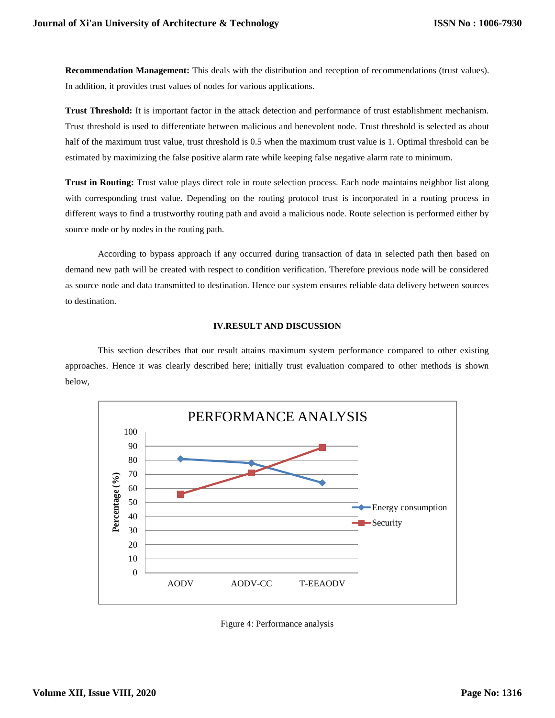**Recommendation Management:** This deals with the distribution and reception of recommendations (trust values). In addition, it provides trust values of nodes for various applications.

**Trust Threshold:** It is important factor in the attack detection and performance of trust establishment mechanism. Trust threshold is used to differentiate between malicious and benevolent node. Trust threshold is selected as about half of the maximum trust value, trust threshold is 0.5 when the maximum trust value is 1. Optimal threshold can be estimated by maximizing the false positive alarm rate while keeping false negative alarm rate to minimum.

**Trust in Routing:** Trust value plays direct role in route selection process. Each node maintains neighbor list along with corresponding trust value. Depending on the routing protocol trust is incorporated in a routing process in different ways to find a trustworthy routing path and avoid a malicious node. Route selection is performed either by source node or by nodes in the routing path.

According to bypass approach if any occurred during transaction of data in selected path then based on demand new path will be created with respect to condition verification. Therefore previous node will be considered as source node and data transmitted to destination. Hence our system ensures reliable data delivery between sources to destination.

## **IV.RESULT AND DISCUSSION**

This section describes that our result attains maximum system performance compared to other existing approaches. Hence it was clearly described here; initially trust evaluation compared to other methods is shown below,